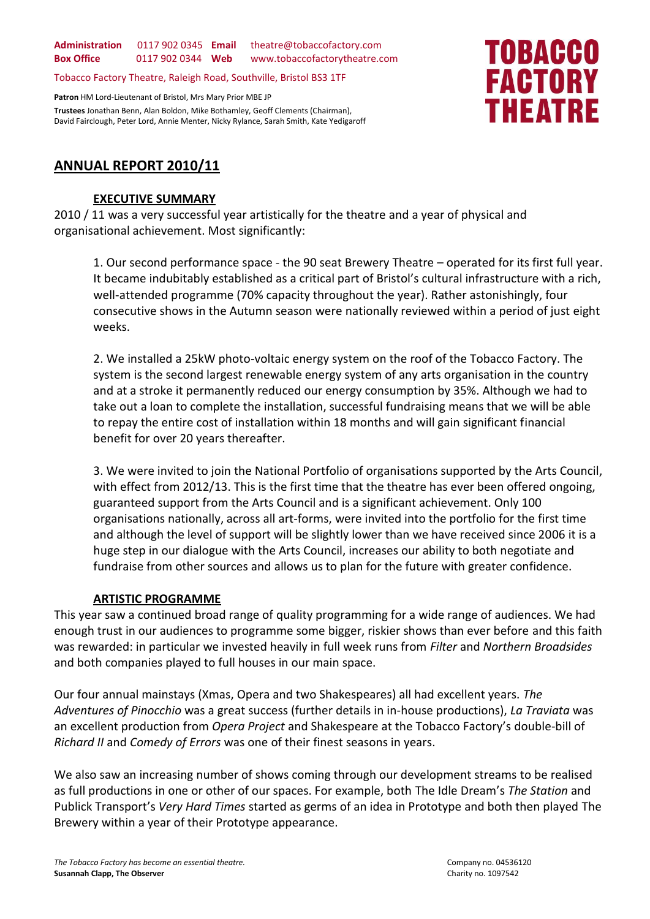**Administration** 0117 902 0345 **Email** theatre@tobaccofactory.com **Box Office** 0117 902 0344 **Web** www.tobaccofactorytheatre.com

Tobacco Factory Theatre, Raleigh Road, Southville, Bristol BS3 1TF

**Patron** HM Lord-Lieutenant of Bristol, Mrs Mary Prior MBE JP

**Trustees** Jonathan Benn, Alan Boldon, Mike Bothamley, Geoff Clements (Chairman), David Fairclough, Peter Lord, Annie Menter, Nicky Rylance, Sarah Smith, Kate Yedigaroff

# **ANNUAL REPORT 2010/11**

#### **EXECUTIVE SUMMARY**

2010 / 11 was a very successful year artistically for the theatre and a year of physical and organisational achievement. Most significantly:

1. Our second performance space - the 90 seat Brewery Theatre – operated for its first full year. It became indubitably established as a critical part of Bristol's cultural infrastructure with a rich, well-attended programme (70% capacity throughout the year). Rather astonishingly, four consecutive shows in the Autumn season were nationally reviewed within a period of just eight weeks.

2. We installed a 25kW photo-voltaic energy system on the roof of the Tobacco Factory. The system is the second largest renewable energy system of any arts organisation in the country and at a stroke it permanently reduced our energy consumption by 35%. Although we had to take out a loan to complete the installation, successful fundraising means that we will be able to repay the entire cost of installation within 18 months and will gain significant financial benefit for over 20 years thereafter.

3. We were invited to join the National Portfolio of organisations supported by the Arts Council, with effect from 2012/13. This is the first time that the theatre has ever been offered ongoing, guaranteed support from the Arts Council and is a significant achievement. Only 100 organisations nationally, across all art-forms, were invited into the portfolio for the first time and although the level of support will be slightly lower than we have received since 2006 it is a huge step in our dialogue with the Arts Council, increases our ability to both negotiate and fundraise from other sources and allows us to plan for the future with greater confidence.

#### **ARTISTIC PROGRAMME**

This year saw a continued broad range of quality programming for a wide range of audiences. We had enough trust in our audiences to programme some bigger, riskier shows than ever before and this faith was rewarded: in particular we invested heavily in full week runs from *Filter* and *Northern Broadsides* and both companies played to full houses in our main space.

Our four annual mainstays (Xmas, Opera and two Shakespeares) all had excellent years. *The Adventures of Pinocchio* was a great success (further details in in-house productions), *La Traviata* was an excellent production from *Opera Project* and Shakespeare at the Tobacco Factory's double-bill of *Richard II* and *Comedy of Errors* was one of their finest seasons in years.

We also saw an increasing number of shows coming through our development streams to be realised as full productions in one or other of our spaces. For example, both The Idle Dream's *The Station* and Publick Transport's *Very Hard Times* started as germs of an idea in Prototype and both then played The Brewery within a year of their Prototype appearance.

**TOBACCO** 

**FACTORY** 

**THEATRE**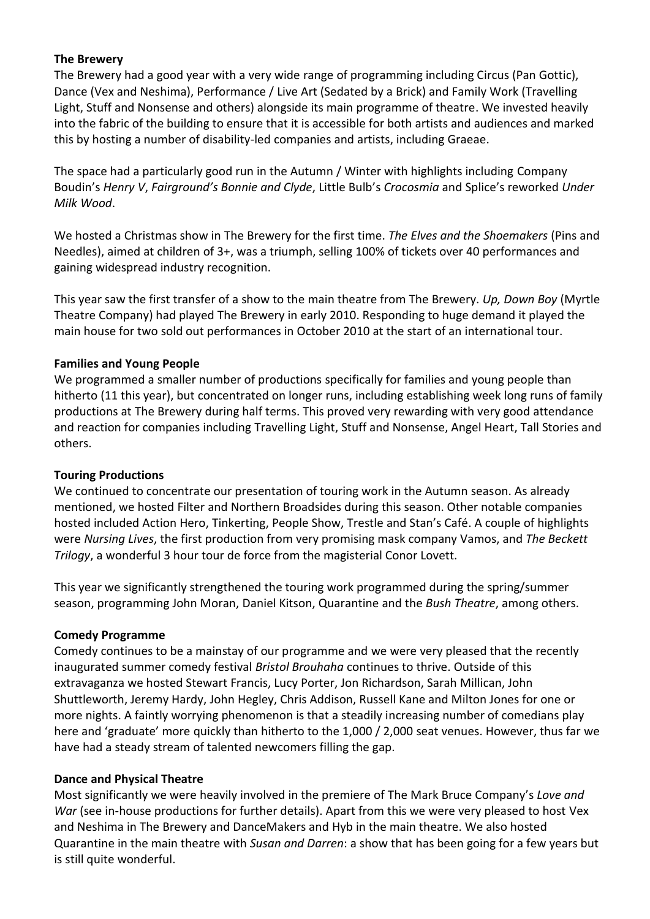### **The Brewery**

The Brewery had a good year with a very wide range of programming including Circus (Pan Gottic), Dance (Vex and Neshima), Performance / Live Art (Sedated by a Brick) and Family Work (Travelling Light, Stuff and Nonsense and others) alongside its main programme of theatre. We invested heavily into the fabric of the building to ensure that it is accessible for both artists and audiences and marked this by hosting a number of disability-led companies and artists, including Graeae.

The space had a particularly good run in the Autumn / Winter with highlights including Company Boudin's *Henry V*, *Fairground's Bonnie and Clyde*, Little Bulb's *Crocosmia* and Splice's reworked *Under Milk Wood*.

We hosted a Christmas show in The Brewery for the first time. *The Elves and the Shoemakers* (Pins and Needles), aimed at children of 3+, was a triumph, selling 100% of tickets over 40 performances and gaining widespread industry recognition.

This year saw the first transfer of a show to the main theatre from The Brewery. *Up, Down Boy* (Myrtle Theatre Company) had played The Brewery in early 2010. Responding to huge demand it played the main house for two sold out performances in October 2010 at the start of an international tour.

# **Families and Young People**

We programmed a smaller number of productions specifically for families and young people than hitherto (11 this year), but concentrated on longer runs, including establishing week long runs of family productions at The Brewery during half terms. This proved very rewarding with very good attendance and reaction for companies including Travelling Light, Stuff and Nonsense, Angel Heart, Tall Stories and others.

#### **Touring Productions**

We continued to concentrate our presentation of touring work in the Autumn season. As already mentioned, we hosted Filter and Northern Broadsides during this season. Other notable companies hosted included Action Hero, Tinkerting, People Show, Trestle and Stan's Café. A couple of highlights were *Nursing Lives*, the first production from very promising mask company Vamos, and *The Beckett Trilogy*, a wonderful 3 hour tour de force from the magisterial Conor Lovett.

This year we significantly strengthened the touring work programmed during the spring/summer season, programming John Moran, Daniel Kitson, Quarantine and the *Bush Theatre*, among others.

# **Comedy Programme**

Comedy continues to be a mainstay of our programme and we were very pleased that the recently inaugurated summer comedy festival *Bristol Brouhaha* continues to thrive. Outside of this extravaganza we hosted Stewart Francis, Lucy Porter, Jon Richardson, Sarah Millican, John Shuttleworth, Jeremy Hardy, John Hegley, Chris Addison, Russell Kane and Milton Jones for one or more nights. A faintly worrying phenomenon is that a steadily increasing number of comedians play here and 'graduate' more quickly than hitherto to the 1,000 / 2,000 seat venues. However, thus far we have had a steady stream of talented newcomers filling the gap.

#### **Dance and Physical Theatre**

Most significantly we were heavily involved in the premiere of The Mark Bruce Company's *Love and War* (see in-house productions for further details). Apart from this we were very pleased to host Vex and Neshima in The Brewery and DanceMakers and Hyb in the main theatre. We also hosted Quarantine in the main theatre with *Susan and Darren*: a show that has been going for a few years but is still quite wonderful.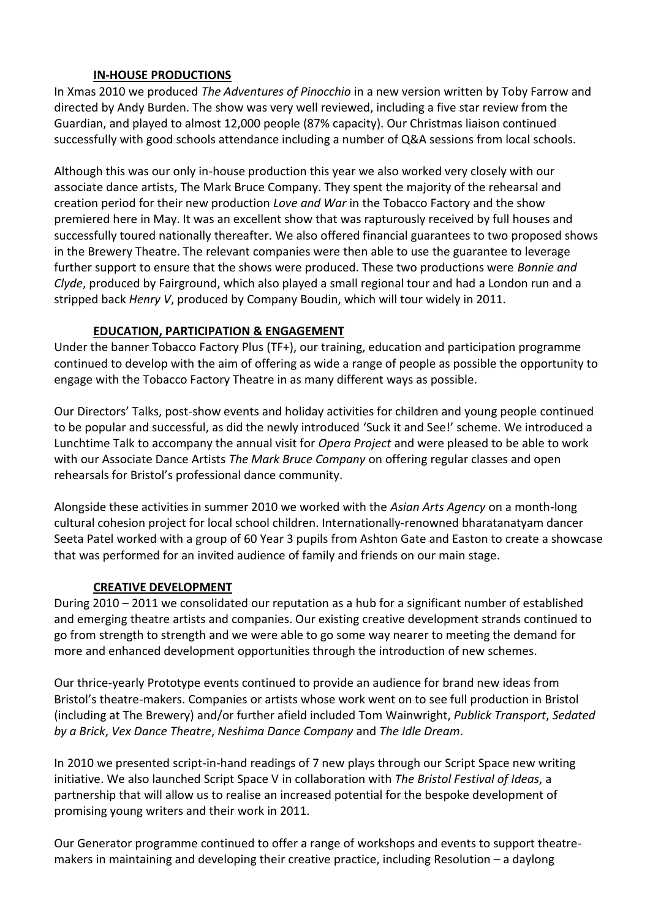### **IN-HOUSE PRODUCTIONS**

In Xmas 2010 we produced *The Adventures of Pinocchio* in a new version written by Toby Farrow and directed by Andy Burden. The show was very well reviewed, including a five star review from the Guardian, and played to almost 12,000 people (87% capacity). Our Christmas liaison continued successfully with good schools attendance including a number of Q&A sessions from local schools.

Although this was our only in-house production this year we also worked very closely with our associate dance artists, The Mark Bruce Company. They spent the majority of the rehearsal and creation period for their new production *Love and War* in the Tobacco Factory and the show premiered here in May. It was an excellent show that was rapturously received by full houses and successfully toured nationally thereafter. We also offered financial guarantees to two proposed shows in the Brewery Theatre. The relevant companies were then able to use the guarantee to leverage further support to ensure that the shows were produced. These two productions were *Bonnie and Clyde*, produced by Fairground, which also played a small regional tour and had a London run and a stripped back *Henry V*, produced by Company Boudin, which will tour widely in 2011.

# **EDUCATION, PARTICIPATION & ENGAGEMENT**

Under the banner Tobacco Factory Plus (TF+), our training, education and participation programme continued to develop with the aim of offering as wide a range of people as possible the opportunity to engage with the Tobacco Factory Theatre in as many different ways as possible.

Our Directors' Talks, post-show events and holiday activities for children and young people continued to be popular and successful, as did the newly introduced 'Suck it and See!' scheme. We introduced a Lunchtime Talk to accompany the annual visit for *Opera Project* and were pleased to be able to work with our Associate Dance Artists *The Mark Bruce Company* on offering regular classes and open rehearsals for Bristol's professional dance community.

Alongside these activities in summer 2010 we worked with the *Asian Arts Agency* on a month-long cultural cohesion project for local school children. Internationally-renowned bharatanatyam dancer Seeta Patel worked with a group of 60 Year 3 pupils from Ashton Gate and Easton to create a showcase that was performed for an invited audience of family and friends on our main stage.

# **CREATIVE DEVELOPMENT**

During 2010 – 2011 we consolidated our reputation as a hub for a significant number of established and emerging theatre artists and companies. Our existing creative development strands continued to go from strength to strength and we were able to go some way nearer to meeting the demand for more and enhanced development opportunities through the introduction of new schemes.

Our thrice-yearly Prototype events continued to provide an audience for brand new ideas from Bristol's theatre-makers. Companies or artists whose work went on to see full production in Bristol (including at The Brewery) and/or further afield included Tom Wainwright, *Publick Transport*, *Sedated by a Brick*, *Vex Dance Theatre*, *Neshima Dance Company* and *The Idle Dream*.

In 2010 we presented script-in-hand readings of 7 new plays through our Script Space new writing initiative. We also launched Script Space V in collaboration with *The Bristol Festival of Ideas*, a partnership that will allow us to realise an increased potential for the bespoke development of promising young writers and their work in 2011.

Our Generator programme continued to offer a range of workshops and events to support theatremakers in maintaining and developing their creative practice, including Resolution – a daylong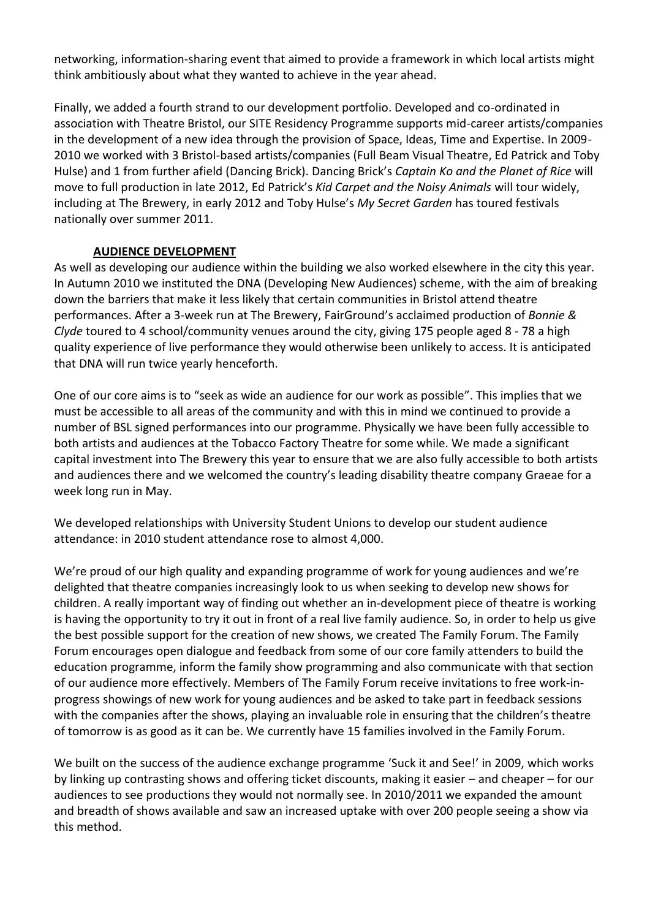networking, information-sharing event that aimed to provide a framework in which local artists might think ambitiously about what they wanted to achieve in the year ahead.

Finally, we added a fourth strand to our development portfolio. Developed and co-ordinated in association with Theatre Bristol, our SITE Residency Programme supports mid-career artists/companies in the development of a new idea through the provision of Space, Ideas, Time and Expertise. In 2009- 2010 we worked with 3 Bristol-based artists/companies (Full Beam Visual Theatre, Ed Patrick and Toby Hulse) and 1 from further afield (Dancing Brick). Dancing Brick's *Captain Ko and the Planet of Rice* will move to full production in late 2012, Ed Patrick's *Kid Carpet and the Noisy Animals* will tour widely, including at The Brewery, in early 2012 and Toby Hulse's *My Secret Garden* has toured festivals nationally over summer 2011.

# **AUDIENCE DEVELOPMENT**

As well as developing our audience within the building we also worked elsewhere in the city this year. In Autumn 2010 we instituted the DNA (Developing New Audiences) scheme, with the aim of breaking down the barriers that make it less likely that certain communities in Bristol attend theatre performances. After a 3-week run at The Brewery, FairGround's acclaimed production of *Bonnie & Clyde* toured to 4 school/community venues around the city, giving 175 people aged 8 - 78 a high quality experience of live performance they would otherwise been unlikely to access. It is anticipated that DNA will run twice yearly henceforth.

One of our core aims is to "seek as wide an audience for our work as possible". This implies that we must be accessible to all areas of the community and with this in mind we continued to provide a number of BSL signed performances into our programme. Physically we have been fully accessible to both artists and audiences at the Tobacco Factory Theatre for some while. We made a significant capital investment into The Brewery this year to ensure that we are also fully accessible to both artists and audiences there and we welcomed the country's leading disability theatre company Graeae for a week long run in May.

We developed relationships with University Student Unions to develop our student audience attendance: in 2010 student attendance rose to almost 4,000.

We're proud of our high quality and expanding programme of work for young audiences and we're delighted that theatre companies increasingly look to us when seeking to develop new shows for children. A really important way of finding out whether an in-development piece of theatre is working is having the opportunity to try it out in front of a real live family audience. So, in order to help us give the best possible support for the creation of new shows, we created The Family Forum. The Family Forum encourages open dialogue and feedback from some of our core family attenders to build the education programme, inform the family show programming and also communicate with that section of our audience more effectively. Members of The Family Forum receive invitations to free work-inprogress showings of new work for young audiences and be asked to take part in feedback sessions with the companies after the shows, playing an invaluable role in ensuring that the children's theatre of tomorrow is as good as it can be. We currently have 15 families involved in the Family Forum.

We built on the success of the audience exchange programme 'Suck it and See!' in 2009, which works by linking up contrasting shows and offering ticket discounts, making it easier – and cheaper – for our audiences to see productions they would not normally see. In 2010/2011 we expanded the amount and breadth of shows available and saw an increased uptake with over 200 people seeing a show via this method.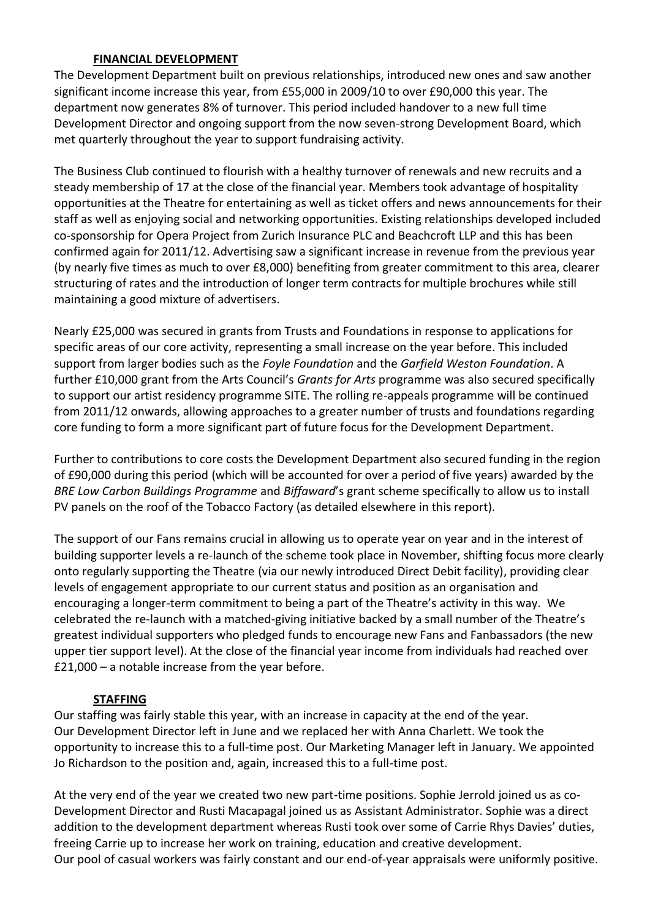### **FINANCIAL DEVELOPMENT**

The Development Department built on previous relationships, introduced new ones and saw another significant income increase this year, from £55,000 in 2009/10 to over £90,000 this year. The department now generates 8% of turnover. This period included handover to a new full time Development Director and ongoing support from the now seven-strong Development Board, which met quarterly throughout the year to support fundraising activity.

The Business Club continued to flourish with a healthy turnover of renewals and new recruits and a steady membership of 17 at the close of the financial year. Members took advantage of hospitality opportunities at the Theatre for entertaining as well as ticket offers and news announcements for their staff as well as enjoying social and networking opportunities. Existing relationships developed included co-sponsorship for Opera Project from Zurich Insurance PLC and Beachcroft LLP and this has been confirmed again for 2011/12. Advertising saw a significant increase in revenue from the previous year (by nearly five times as much to over £8,000) benefiting from greater commitment to this area, clearer structuring of rates and the introduction of longer term contracts for multiple brochures while still maintaining a good mixture of advertisers.

Nearly £25,000 was secured in grants from Trusts and Foundations in response to applications for specific areas of our core activity, representing a small increase on the year before. This included support from larger bodies such as the *Foyle Foundation* and the *Garfield Weston Foundation*. A further £10,000 grant from the Arts Council's *Grants for Arts* programme was also secured specifically to support our artist residency programme SITE. The rolling re-appeals programme will be continued from 2011/12 onwards, allowing approaches to a greater number of trusts and foundations regarding core funding to form a more significant part of future focus for the Development Department.

Further to contributions to core costs the Development Department also secured funding in the region of £90,000 during this period (which will be accounted for over a period of five years) awarded by the *BRE Low Carbon Buildings Programme* and *Biffaward*'s grant scheme specifically to allow us to install PV panels on the roof of the Tobacco Factory (as detailed elsewhere in this report).

The support of our Fans remains crucial in allowing us to operate year on year and in the interest of building supporter levels a re-launch of the scheme took place in November, shifting focus more clearly onto regularly supporting the Theatre (via our newly introduced Direct Debit facility), providing clear levels of engagement appropriate to our current status and position as an organisation and encouraging a longer-term commitment to being a part of the Theatre's activity in this way. We celebrated the re-launch with a matched-giving initiative backed by a small number of the Theatre's greatest individual supporters who pledged funds to encourage new Fans and Fanbassadors (the new upper tier support level). At the close of the financial year income from individuals had reached over £21,000 – a notable increase from the year before.

# **STAFFING**

Our staffing was fairly stable this year, with an increase in capacity at the end of the year. Our Development Director left in June and we replaced her with Anna Charlett. We took the opportunity to increase this to a full-time post. Our Marketing Manager left in January. We appointed Jo Richardson to the position and, again, increased this to a full-time post.

At the very end of the year we created two new part-time positions. Sophie Jerrold joined us as co-Development Director and Rusti Macapagal joined us as Assistant Administrator. Sophie was a direct addition to the development department whereas Rusti took over some of Carrie Rhys Davies' duties, freeing Carrie up to increase her work on training, education and creative development. Our pool of casual workers was fairly constant and our end-of-year appraisals were uniformly positive.